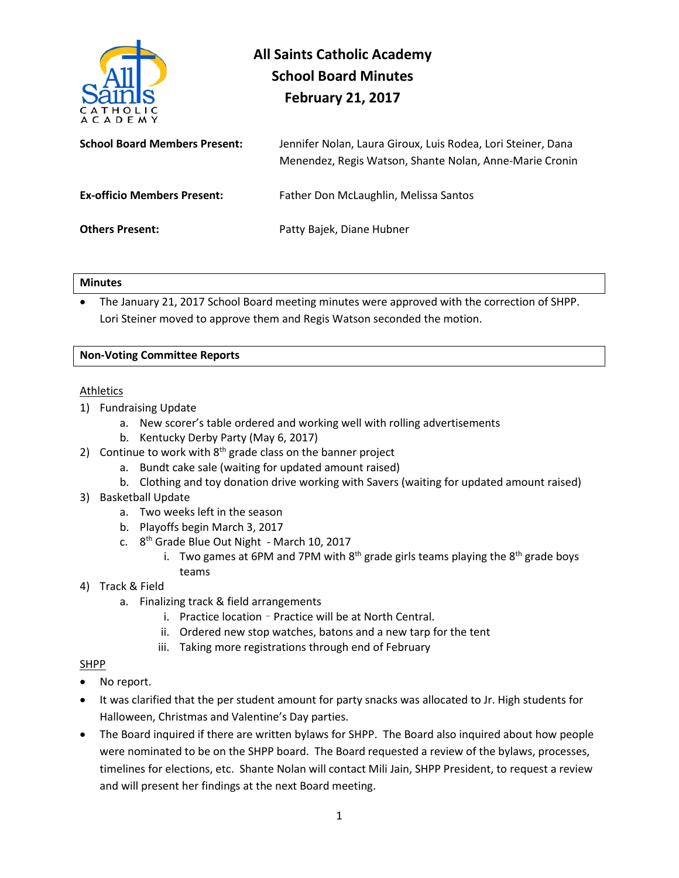

# **All Saints Catholic Academy School Board Minutes February 21, 2017**

| <b>School Board Members Present:</b> | Jennifer Nolan, Laura Giroux, Luis Rodea, Lori Steiner, Dana<br>Menendez, Regis Watson, Shante Nolan, Anne-Marie Cronin |
|--------------------------------------|-------------------------------------------------------------------------------------------------------------------------|
| <b>Ex-officio Members Present:</b>   | Father Don McLaughlin, Melissa Santos                                                                                   |
| <b>Others Present:</b>               | Patty Bajek, Diane Hubner                                                                                               |

#### **Minutes**

• The January 21, 2017 School Board meeting minutes were approved with the correction of SHPP. Lori Steiner moved to approve them and Regis Watson seconded the motion.

# **Non-Voting Committee Reports**

# Athletics

- 1) Fundraising Update
	- a. New scorer's table ordered and working well with rolling advertisements
	- b. Kentucky Derby Party (May 6, 2017)
- 2) Continue to work with  $8<sup>th</sup>$  grade class on the banner project
	- a. Bundt cake sale (waiting for updated amount raised)
	- b. Clothing and toy donation drive working with Savers (waiting for updated amount raised)
- 3) Basketball Update
	- a. Two weeks left in the season
	- b. Playoffs begin March 3, 2017
	- c.  $8<sup>th</sup>$  Grade Blue Out Night March 10, 2017
		- i. Two games at 6PM and 7PM with  $8^{th}$  grade girls teams playing the  $8^{th}$  grade boys teams
- 4) Track & Field
	- a. Finalizing track & field arrangements
		- i. Practice location Practice will be at North Central.
		- ii. Ordered new stop watches, batons and a new tarp for the tent
		- iii. Taking more registrations through end of February

# SHPP

- No report.
- It was clarified that the per student amount for party snacks was allocated to Jr. High students for Halloween, Christmas and Valentine's Day parties.
- The Board inquired if there are written bylaws for SHPP. The Board also inquired about how people were nominated to be on the SHPP board. The Board requested a review of the bylaws, processes, timelines for elections, etc. Shante Nolan will contact Mili Jain, SHPP President, to request a review and will present her findings at the next Board meeting.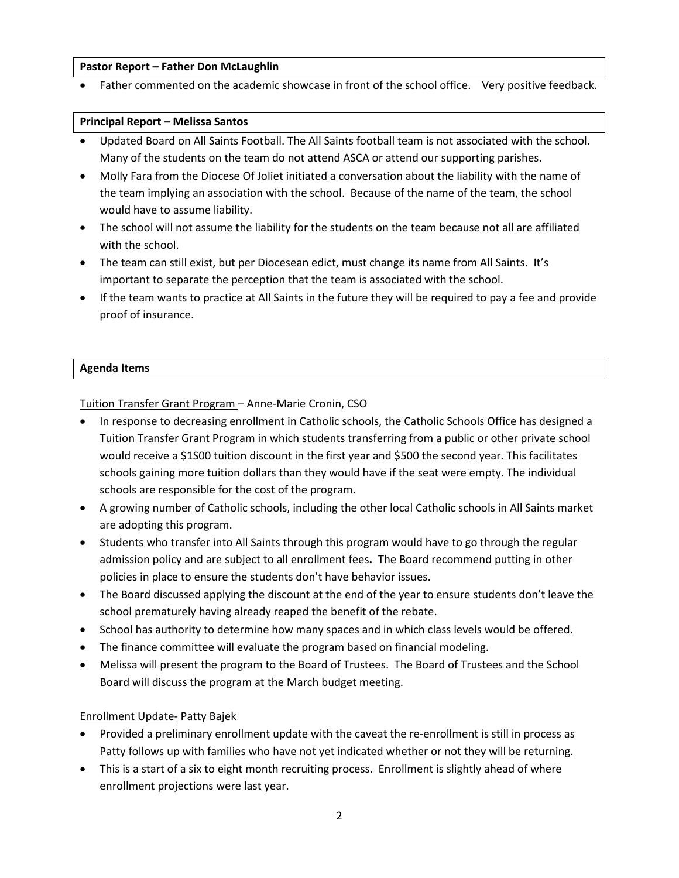#### **Pastor Report – Father Don McLaughlin**

Father commented on the academic showcase in front of the school office. Very positive feedback.

#### **Principal Report – Melissa Santos**

- Updated Board on All Saints Football. The All Saints football team is not associated with the school. Many of the students on the team do not attend ASCA or attend our supporting parishes.
- Molly Fara from the Diocese Of Joliet initiated a conversation about the liability with the name of the team implying an association with the school. Because of the name of the team, the school would have to assume liability.
- The school will not assume the liability for the students on the team because not all are affiliated with the school.
- The team can still exist, but per Diocesean edict, must change its name from All Saints. It's important to separate the perception that the team is associated with the school.
- If the team wants to practice at All Saints in the future they will be required to pay a fee and provide proof of insurance.

#### **Agenda Items**

Tuition Transfer Grant Program – Anne-Marie Cronin, CSO

- In response to decreasing enrollment in Catholic schools, the Catholic Schools Office has designed a Tuition Transfer Grant Program in which students transferring from a public or other private school would receive a \$1S00 tuition discount in the first year and \$500 the second year. This facilitates schools gaining more tuition dollars than they would have if the seat were empty. The individual schools are responsible for the cost of the program.
- A growing number of Catholic schools, including the other local Catholic schools in All Saints market are adopting this program.
- Students who transfer into All Saints through this program would have to go through the regular admission policy and are subject to all enrollment fees**.** The Board recommend putting in other policies in place to ensure the students don't have behavior issues.
- The Board discussed applying the discount at the end of the year to ensure students don't leave the school prematurely having already reaped the benefit of the rebate.
- School has authority to determine how many spaces and in which class levels would be offered.
- The finance committee will evaluate the program based on financial modeling.
- Melissa will present the program to the Board of Trustees. The Board of Trustees and the School Board will discuss the program at the March budget meeting.

#### Enrollment Update- Patty Bajek

- Provided a preliminary enrollment update with the caveat the re-enrollment is still in process as Patty follows up with families who have not yet indicated whether or not they will be returning.
- This is a start of a six to eight month recruiting process. Enrollment is slightly ahead of where enrollment projections were last year.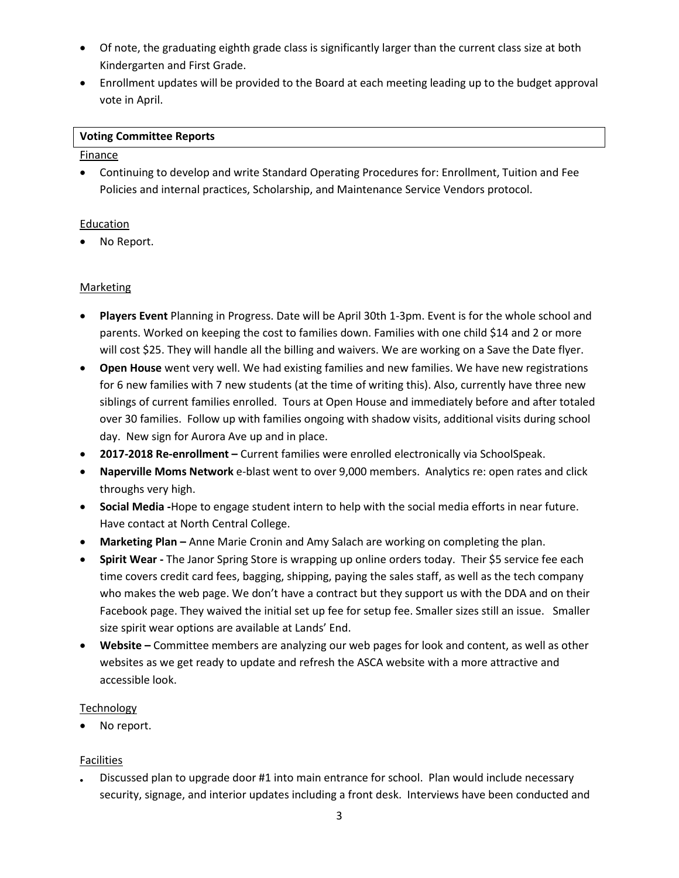- Of note, the graduating eighth grade class is significantly larger than the current class size at both Kindergarten and First Grade.
- Enrollment updates will be provided to the Board at each meeting leading up to the budget approval vote in April.

#### **Voting Committee Reports**

#### **Finance**

• Continuing to develop and write Standard Operating Procedures for: Enrollment, Tuition and Fee Policies and internal practices, Scholarship, and Maintenance Service Vendors protocol.

#### **Education**

No Report.

# **Marketing**

- **Players Event** Planning in Progress. Date will be April 30th 1-3pm. Event is for the whole school and parents. Worked on keeping the cost to families down. Families with one child \$14 and 2 or more will cost \$25. They will handle all the billing and waivers. We are working on a Save the Date flyer.
- **Open House** went very well. We had existing families and new families. We have new registrations for 6 new families with 7 new students (at the time of writing this). Also, currently have three new siblings of current families enrolled. Tours at Open House and immediately before and after totaled over 30 families. Follow up with families ongoing with shadow visits, additional visits during school day. New sign for Aurora Ave up and in place.
- **2017-2018 Re-enrollment –** Current families were enrolled electronically via SchoolSpeak.
- **Naperville Moms Network** e-blast went to over 9,000 members. Analytics re: open rates and click throughs very high.
- **Social Media -**Hope to engage student intern to help with the social media efforts in near future. Have contact at North Central College.
- **Marketing Plan –** Anne Marie Cronin and Amy Salach are working on completing the plan.
- **Spirit Wear -** The Janor Spring Store is wrapping up online orders today. Their \$5 service fee each time covers credit card fees, bagging, shipping, paying the sales staff, as well as the tech company who makes the web page. We don't have a contract but they support us with the DDA and on their Facebook page. They waived the initial set up fee for setup fee. Smaller sizes still an issue. Smaller size spirit wear options are available at Lands' End.
- **Website –** Committee members are analyzing our web pages for look and content, as well as other websites as we get ready to update and refresh the ASCA website with a more attractive and accessible look.

#### Technology

No report.

#### Facilities

• Discussed plan to upgrade door #1 into main entrance for school. Plan would include necessary security, signage, and interior updates including a front desk. Interviews have been conducted and